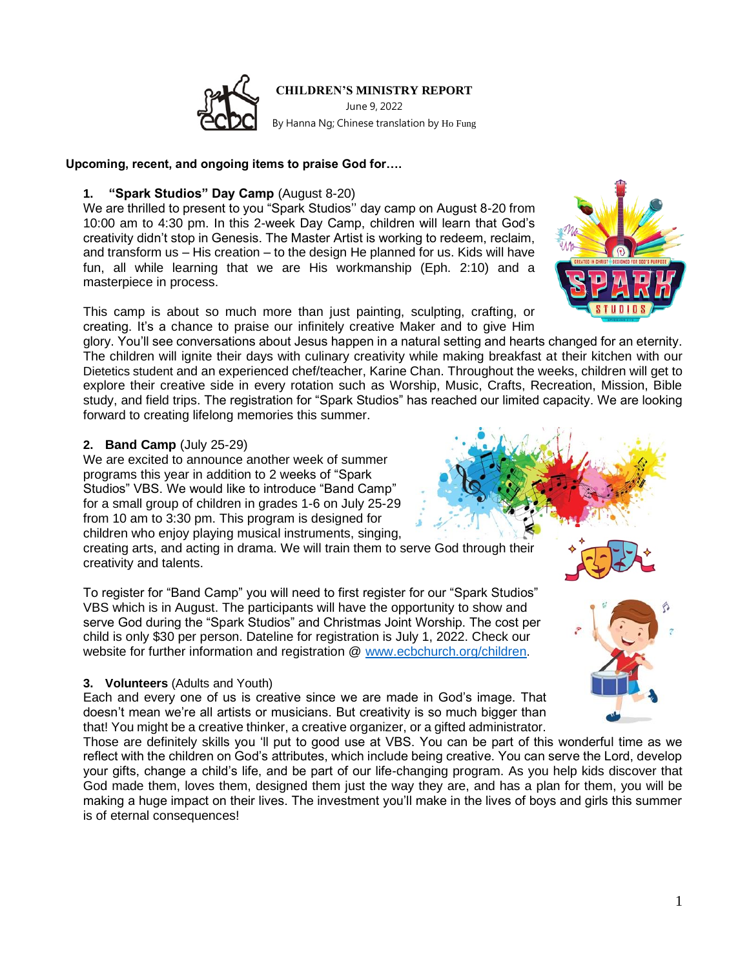

June 9, 2022 By Hanna Ng; Chinese translation by Ho Fung

#### **Upcoming, recent, and ongoing items to praise God for….**

#### **1. "Spark Studios" Day Camp** (August 8-20)

We are thrilled to present to you "Spark Studios'' day camp on August 8-20 from 10:00 am to 4:30 pm. In this 2-week Day Camp, children will learn that God's creativity didn't stop in Genesis. The Master Artist is working to redeem, reclaim, and transform us – His creation – to the design He planned for us. Kids will have fun, all while learning that we are His workmanship (Eph. 2:10) and a masterpiece in process.

This camp is about so much more than just painting, sculpting, crafting, or creating. It's a chance to praise our infinitely creative Maker and to give Him

glory. You'll see conversations about Jesus happen in a natural setting and hearts changed for an eternity. The children will ignite their days with culinary creativity while making breakfast at their kitchen with our Dietetics student and an experienced chef/teacher, Karine Chan. Throughout the weeks, children will get to explore their creative side in every rotation such as Worship, Music, Crafts, Recreation, Mission, Bible study, and field trips. The registration for "Spark Studios" has reached our limited capacity. We are looking forward to creating lifelong memories this summer.

# **2. Band Camp** (July 25-29)

We are excited to announce another week of summer programs this year in addition to 2 weeks of "Spark Studios" VBS. We would like to introduce "Band Camp" for a small group of children in grades 1-6 on July 25-29 from 10 am to 3:30 pm. This program is designed for children who enjoy playing musical instruments, singing,

creating arts, and acting in drama. We will train them to serve God through their creativity and talents.

To register for "Band Camp" you will need to first register for our "Spark Studios" VBS which is in August. The participants will have the opportunity to show and serve God during the "Spark Studios" and Christmas Joint Worship. The cost per child is only \$30 per person. Dateline for registration is July 1, 2022. Check our website for further information and registration @ [www.ecbchurch.org/children](http://www.ecbchurch.org/children).

# **3. Volunteers** (Adults and Youth)

Each and every one of us is creative since we are made in God's image. That doesn't mean we're all artists or musicians. But creativity is so much bigger than that! You might be a creative thinker, a creative organizer, or a gifted administrator.

Those are definitely skills you 'll put to good use at VBS. You can be part of this wonderful time as we reflect with the children on God's attributes, which include being creative. You can serve the Lord, develop your gifts, change a child's life, and be part of our life-changing program. As you help kids discover that God made them, loves them, designed them just the way they are, and has a plan for them, you will be making a huge impact on their lives. The investment you'll make in the lives of boys and girls this summer is of eternal consequences!



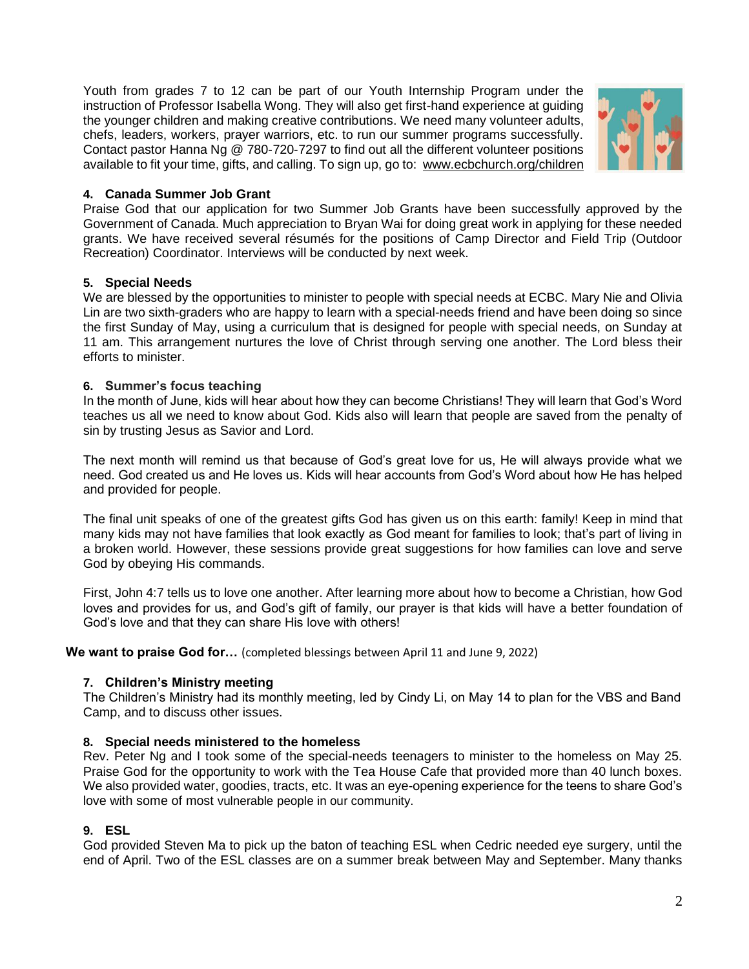Youth from grades 7 to 12 can be part of our Youth Internship Program under the instruction of Professor Isabella Wong. They will also get first-hand experience at guiding the younger children and making creative contributions. We need many volunteer adults, chefs, leaders, workers, prayer warriors, etc. to run our summer programs successfully. Contact pastor Hanna Ng @ 780-720-7297 to find out all the different volunteer positions available to fit your time, gifts, and calling. To sign up, go to: [www.ecbchurch.org/children](http://www.ecbchurch.org/children)



# **4. Canada Summer Job Grant**

Praise God that our application for two Summer Job Grants have been successfully approved by the Government of Canada. Much appreciation to Bryan Wai for doing great work in applying for these needed grants. We have received several résumés for the positions of Camp Director and Field Trip (Outdoor Recreation) Coordinator. Interviews will be conducted by next week.

# **5. Special Needs**

We are blessed by the opportunities to minister to people with special needs at ECBC. Mary Nie and Olivia Lin are two sixth-graders who are happy to learn with a special-needs friend and have been doing so since the first Sunday of May, using a curriculum that is designed for people with special needs, on Sunday at 11 am. This arrangement nurtures the love of Christ through serving one another. The Lord bless their efforts to minister.

#### **6. Summer's focus teaching**

In the month of June, kids will hear about how they can become Christians! They will learn that God's Word teaches us all we need to know about God. Kids also will learn that people are saved from the penalty of sin by trusting Jesus as Savior and Lord.

The next month will remind us that because of God's great love for us, He will always provide what we need. God created us and He loves us. Kids will hear accounts from God's Word about how He has helped and provided for people.

The final unit speaks of one of the greatest gifts God has given us on this earth: family! Keep in mind that many kids may not have families that look exactly as God meant for families to look; that's part of living in a broken world. However, these sessions provide great suggestions for how families can love and serve God by obeying His commands.

First, John 4:7 tells us to love one another. After learning more about how to become a Christian, how God loves and provides for us, and God's gift of family, our prayer is that kids will have a better foundation of God's love and that they can share His love with others!

**We want to praise God for…** (completed blessings between April 11 and June 9, 2022)

# **7. Children's Ministry meeting**

The Children's Ministry had its monthly meeting, led by Cindy Li, on May 14 to plan for the VBS and Band Camp, and to discuss other issues.

#### **8. Special needs ministered to the homeless**

Rev. Peter Ng and I took some of the special-needs teenagers to minister to the homeless on May 25. Praise God for the opportunity to work with the Tea House Cafe that provided more than 40 lunch boxes. We also provided water, goodies, tracts, etc. It was an eye-opening experience for the teens to share God's love with some of most vulnerable people in our community.

# **9. ESL**

God provided Steven Ma to pick up the baton of teaching ESL when Cedric needed eye surgery, until the end of April. Two of the ESL classes are on a summer break between May and September. Many thanks